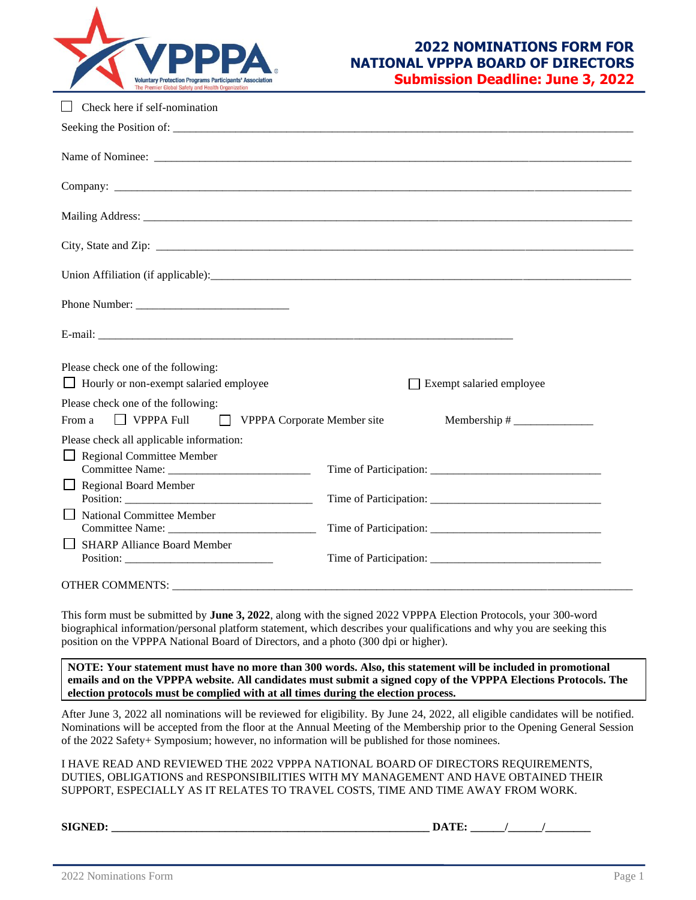

## **2022 NOMINATIONS FORM FOR NATIONAL VPPPA BOARD OF DIRECTORS Submission Deadline: June 3, 2022**

| Check here if self-nomination                                                                                                                                                                                                  |                          |
|--------------------------------------------------------------------------------------------------------------------------------------------------------------------------------------------------------------------------------|--------------------------|
|                                                                                                                                                                                                                                |                          |
|                                                                                                                                                                                                                                |                          |
|                                                                                                                                                                                                                                |                          |
|                                                                                                                                                                                                                                |                          |
|                                                                                                                                                                                                                                |                          |
|                                                                                                                                                                                                                                |                          |
|                                                                                                                                                                                                                                |                          |
|                                                                                                                                                                                                                                |                          |
| Please check one of the following:                                                                                                                                                                                             |                          |
| $\Box$ Hourly or non-exempt salaried employee                                                                                                                                                                                  | Exempt salaried employee |
| Please check one of the following:<br>From a<br>$\Box$ VPPPA Full                                                                                                                                                              |                          |
| Please check all applicable information:                                                                                                                                                                                       |                          |
| $\Box$ Regional Committee Member                                                                                                                                                                                               |                          |
| <b>Regional Board Member</b><br>$\Box$                                                                                                                                                                                         |                          |
| $\Box$ National Committee Member                                                                                                                                                                                               |                          |
| <b>SHARP Alliance Board Member</b>                                                                                                                                                                                             |                          |
| OTHER COMMENTS: Universe of the community of the community of the community of the community of the community of the community of the community of the community of the community of the community of the community of the com |                          |

This form must be submitted by **June 3, 2022**, along with the signed 2022 VPPPA Election Protocols, your 300-word biographical information/personal platform statement, which describes your qualifications and why you are seeking this position on the VPPPA National Board of Directors, and a photo (300 dpi or higher).

**NOTE: Your statement must have no more than 300 words. Also, this statement will be included in promotional emails and on the VPPPA website. All candidates must submit a signed copy of the VPPPA Elections Protocols. The election protocols must be complied with at all times during the election process.**

After June 3, 2022 all nominations will be reviewed for eligibility. By June 24, 2022, all eligible candidates will be notified. Nominations will be accepted from the floor at the Annual Meeting of the Membership prior to the Opening General Session of the 2022 Safety+ Symposium; however, no information will be published for those nominees.

I HAVE READ AND REVIEWED THE 2022 VPPPA NATIONAL BOARD OF DIRECTORS REQUIREMENTS, DUTIES, OBLIGATIONS and RESPONSIBILITIES WITH MY MANAGEMENT AND HAVE OBTAINED THEIR SUPPORT, ESPECIALLY AS IT RELATES TO TRAVEL COSTS, TIME AND TIME AWAY FROM WORK.

 ${\bf SIGNED:}$   ${\bf DATE:}$   $\bf{0}$   $\bf{0}$